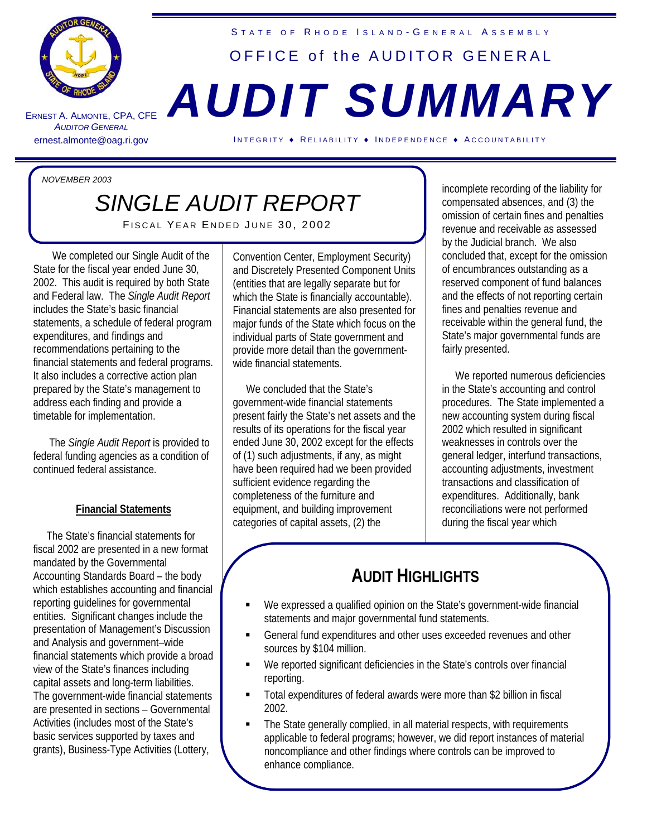

ERNEST A. A LMONTE , CPA, CFE *AUDITOR GENERAL* 

# STATE OF RHODE ISLAND-GENERAL ASSEMBLY OFFICE of the AUDITOR GENERAL *AUDIT SUMMARY*

#### ernest.almonte@oag.ri.gov INTEGRITY ♦ RELIABILITY ♦ INDEPENDENCE ♦ ACCOUNTABILITY

*NOVEMBER 2003*

## *SINGLE AUDIT REPORT*

FISCAL YEAR ENDED JUNE 30, 2002

We completed our Single Audit of the State for the fiscal year ended June 30, 2002. This audit is required by both State and Federal law. The *Single Audit Report* includes the State's basic financial statements, a schedule of federal program expenditures, and findings and recommendations pertaining to the financial statements and federal programs. It also includes a corrective action plan prepared by the State's management to address each finding and provide a timetable for implementation.

 The *Single Audit Report* is provided to federal funding agencies as a condition of continued federal assistance.

#### **Financial Statements**

 The State's financial statements for fiscal 2002 are presented in a new format mandated by the Governmental Accounting Standards Board – the body which establishes accounting and financial reporting guidelines for governmental entities. Significant changes include the presentation of Management's Discussion and Analysis and government–wide financial statements which provide a broad view of the State's finances including capital assets and long-term liabilities. The government-wide financial statements are presented in sections – Governmental Activities (includes most of the State's basic services supported by taxes and grants), Business-Type Activities (Lottery,

Convention Center, Employment Security) and Discretely Presented Component Units (entities that are legally separate but for which the State is financially accountable). Financial statements are also presented for major funds of the State which focus on the individual parts of State government and provide more detail than the governmentwide financial statements.

 We concluded that the State's government-wide financial statements present fairly the State's net assets and the results of its operations for the fiscal year ended June 30, 2002 except for the effects of (1) such adjustments, if any, as might have been required had we been provided sufficient evidence regarding the completeness of the furniture and equipment, and building improvement categories of capital assets, (2) the

incomplete recording of the liability for compensated absences, and (3) the omission of certain fines and penalties revenue and receivable as assessed by the Judicial branch. We also concluded that, except for the omission of encumbrances outstanding as a reserved component of fund balances and the effects of not reporting certain fines and penalties revenue and receivable within the general fund, the State's major governmental funds are fairly presented.

 We reported numerous deficiencies in the State's accounting and control procedures. The State implemented a new accounting system during fiscal 2002 which resulted in significant weaknesses in controls over the general ledger, interfund transactions, accounting adjustments, investment transactions and classification of expenditures. Additionally, bank reconciliations were not performed during the fiscal year which

### **AUDIT HIGHLIGHTS**

- We expressed a qualified opinion on the State's government-wide financial statements and major governmental fund statements.
- General fund expenditures and other uses exceeded revenues and other sources by \$104 million.
- We reported significant deficiencies in the State's controls over financial reporting.
- Total expenditures of federal awards were more than \$2 billion in fiscal 2002.
- The State generally complied, in all material respects, with requirements applicable to federal programs; however, we did report instances of material noncompliance and other findings where controls can be improved to enhance compliance.